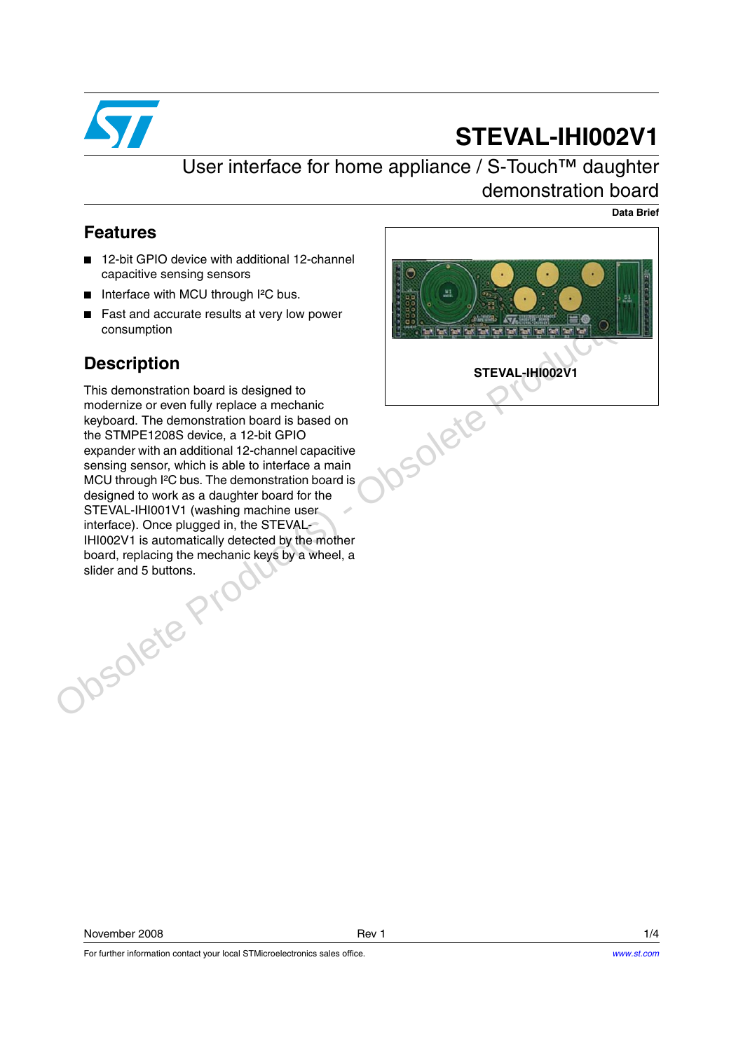

# **STEVAL-IHI002V1**

## User interface for home appliance / S-Touch™ daughter demonstration board

**Data Brief**

#### **Features**

- 12-bit GPIO device with additional 12-channel capacitive sensing sensors
- Interface with MCU through I<sup>2</sup>C bus.
- Fast and accurate results at very low power consumption

### **Description**

This demonstration board is designed to modernize or even fully replace a mechanic keyboard. The demonstration board is based on the STMPE1208S device, a 12-bit GPIO expander with an additional 12-channel capacitive sensing sensor, which is able to interface a main MCU through I<sup>2</sup>C bus. The demonstration board is designed to work as a daughter board for the STEVAL-IHI001V1 (washing machine user interface). Once plugged in, the STEVAL-IHI002V1 is automatically detected by the mother board, replacing the mechanic keys by a wheel, a slider and 5 buttons. That and accurate results at very low power<br>
Consumption<br>
This demonstration board is designed to<br>
modernize or even fully replace a mechanic<br>
replocation for a STEVAL-IHI002V1<br>
the STMPE1206S dovice, a 12-bit GPIO<br>
expand



For further information contact your local STMicroelectronics sales office.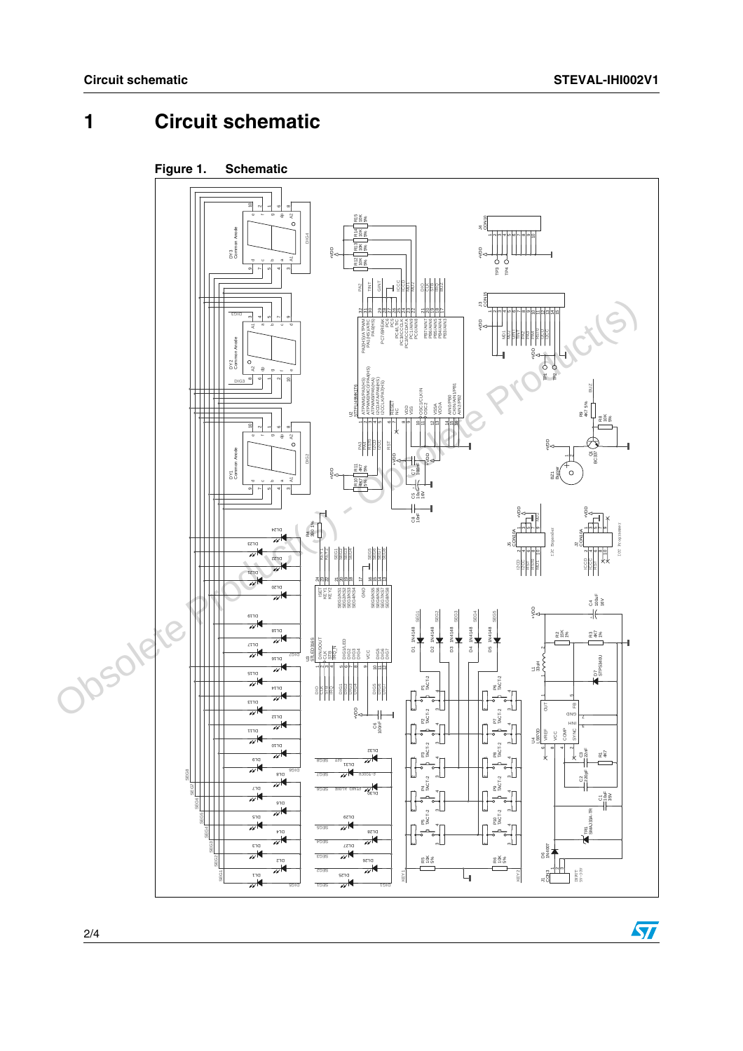# **1 Circuit schematic**



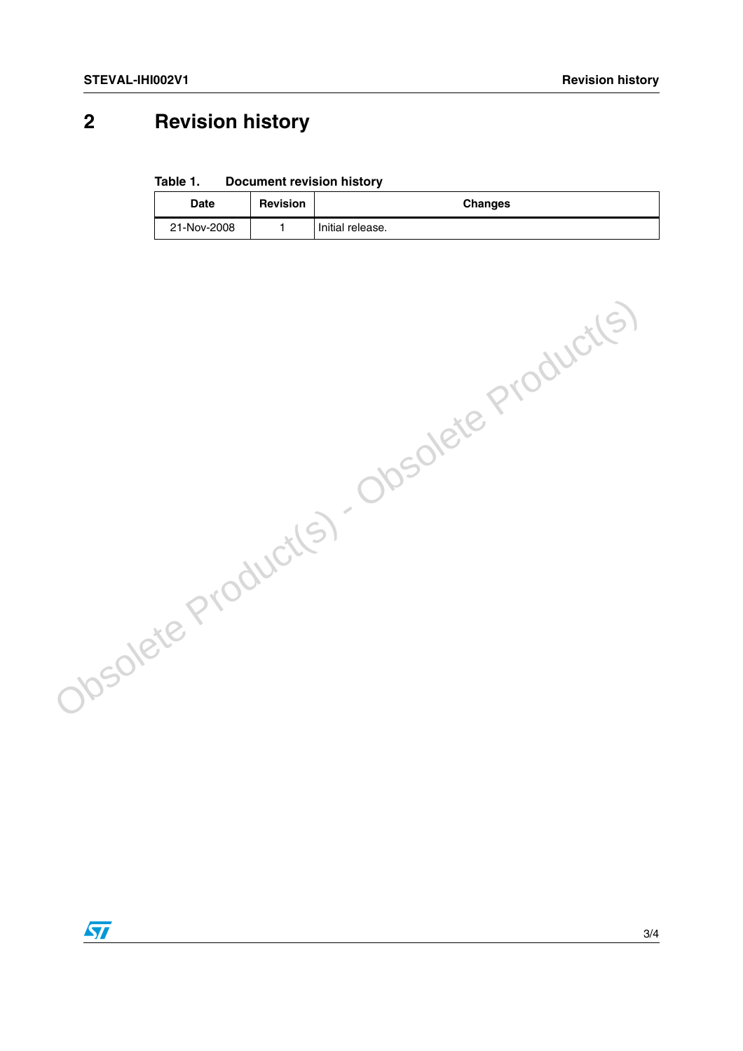# **2 Revision history**

**Table 1. Document revision history**

| <b>Date</b> | <b>Revision</b> | <b>Changes</b>     |
|-------------|-----------------|--------------------|
| 21-Nov-2008 |                 | I Initial release. |

Obsolete Product(s) - Obsolete Product(s)